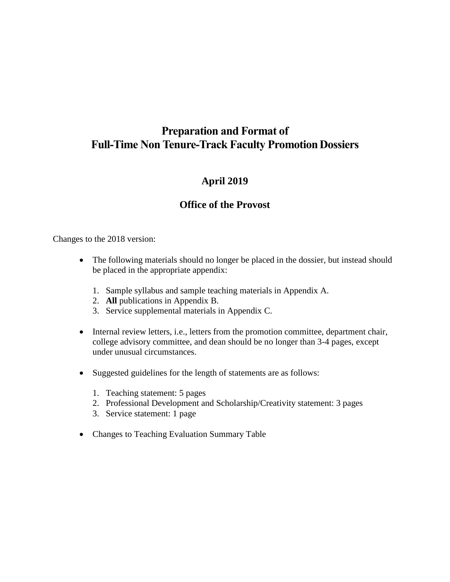# **Preparation and Format of Full-Time Non Tenure-Track Faculty PromotionDossiers**

# **April 2019**

# **Office of the Provost**

Changes to the 2018 version:

- The following materials should no longer be placed in the dossier, but instead should be placed in the appropriate appendix:
	- 1. Sample syllabus and sample teaching materials in Appendix A.
	- 2. **All** publications in Appendix B.
	- 3. Service supplemental materials in Appendix C.
- Internal review letters, i.e., letters from the promotion committee, department chair, college advisory committee, and dean should be no longer than 3-4 pages, except under unusual circumstances.
- Suggested guidelines for the length of statements are as follows:
	- 1. Teaching statement: 5 pages
	- 2. Professional Development and Scholarship/Creativity statement: 3 pages
	- 3. Service statement: 1 page
- Changes to Teaching Evaluation Summary Table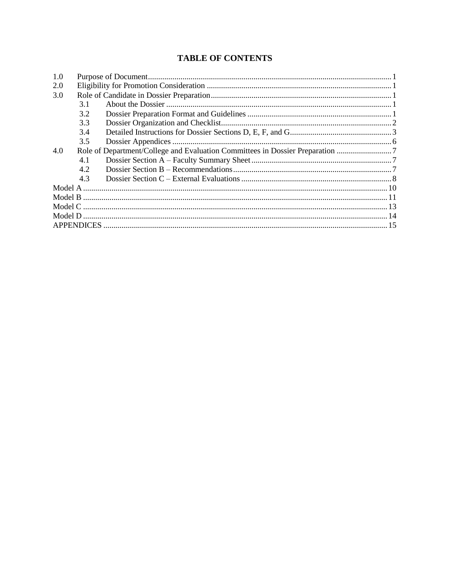# **TABLE OF CONTENTS**

| 1.0 |     |                                                                               |  |  |  |
|-----|-----|-------------------------------------------------------------------------------|--|--|--|
| 2.0 |     |                                                                               |  |  |  |
| 3.0 |     |                                                                               |  |  |  |
|     | 3.1 |                                                                               |  |  |  |
|     | 3.2 |                                                                               |  |  |  |
|     | 3.3 |                                                                               |  |  |  |
|     | 3.4 |                                                                               |  |  |  |
|     | 3.5 |                                                                               |  |  |  |
| 4.0 |     | Role of Department/College and Evaluation Committees in Dossier Preparation 7 |  |  |  |
|     | 4.1 |                                                                               |  |  |  |
|     | 4.2 |                                                                               |  |  |  |
|     | 4.3 |                                                                               |  |  |  |
|     |     |                                                                               |  |  |  |
|     |     |                                                                               |  |  |  |
|     |     |                                                                               |  |  |  |
|     |     |                                                                               |  |  |  |
|     |     |                                                                               |  |  |  |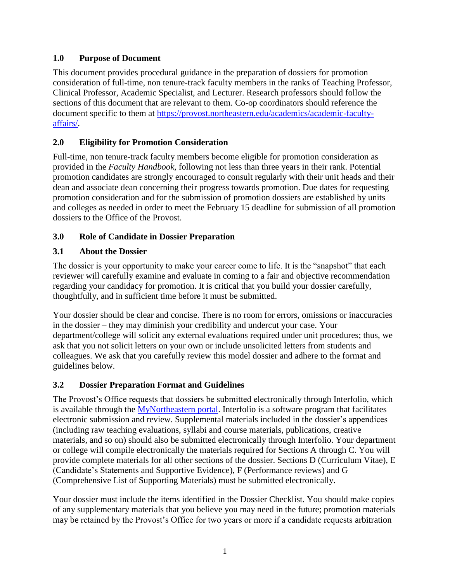# <span id="page-2-0"></span>**1.0 Purpose of Document**

This document provides procedural guidance in the preparation of dossiers for promotion consideration of full-time, non tenure-track faculty members in the ranks of Teaching Professor, Clinical Professor, Academic Specialist, and Lecturer. Research professors should follow the sections of this document that are relevant to them. Co-op coordinators should reference the document specific to them at [https://provost.northeastern.edu/academics/academic-faculty](https://provost.northeastern.edu/academics/academic-faculty-affairs/)[affairs/.](https://provost.northeastern.edu/academics/academic-faculty-affairs/)

# <span id="page-2-1"></span>**2.0 Eligibility for Promotion Consideration**

Full-time, non tenure-track faculty members become eligible for promotion consideration as provided in the *Faculty Handbook*, following not less than three years in their rank. Potential promotion candidates are strongly encouraged to consult regularly with their unit heads and their dean and associate dean concerning their progress towards promotion. Due dates for requesting promotion consideration and for the submission of promotion dossiers are established by units and colleges as needed in order to meet the February 15 deadline for submission of all promotion dossiers to the Office of the Provost.

## <span id="page-2-2"></span>**3.0 Role of Candidate in Dossier Preparation**

## <span id="page-2-3"></span>**3.1 About the Dossier**

The dossier is your opportunity to make your career come to life. It is the "snapshot" that each reviewer will carefully examine and evaluate in coming to a fair and objective recommendation regarding your candidacy for promotion. It is critical that you build your dossier carefully, thoughtfully, and in sufficient time before it must be submitted.

Your dossier should be clear and concise. There is no room for errors, omissions or inaccuracies in the dossier – they may diminish your credibility and undercut your case. Your department/college will solicit any external evaluations required under unit procedures; thus, we ask that you not solicit letters on your own or include unsolicited letters from students and colleagues. We ask that you carefully review this model dossier and adhere to the format and guidelines below.

#### <span id="page-2-4"></span>**3.2 Dossier Preparation Format and Guidelines**

The Provost's Office requests that dossiers be submitted electronically through Interfolio, which is available through the [MyNortheastern](https://my.northeastern.edu/) portal. Interfolio is a software program that facilitates electronic submission and review. Supplemental materials included in the dossier's appendices (including raw teaching evaluations, syllabi and course materials, publications, creative materials, and so on) should also be submitted electronically through Interfolio. Your department or college will compile electronically the materials required for Sections A through C. You will provide complete materials for all other sections of the dossier. Sections D (Curriculum Vitae), E (Candidate's Statements and Supportive Evidence), F (Performance reviews) and G (Comprehensive List of Supporting Materials) must be submitted electronically.

Your dossier must include the items identified in the Dossier Checklist. You should make copies of any supplementary materials that you believe you may need in the future; promotion materials may be retained by the Provost's Office for two years or more if a candidate requests arbitration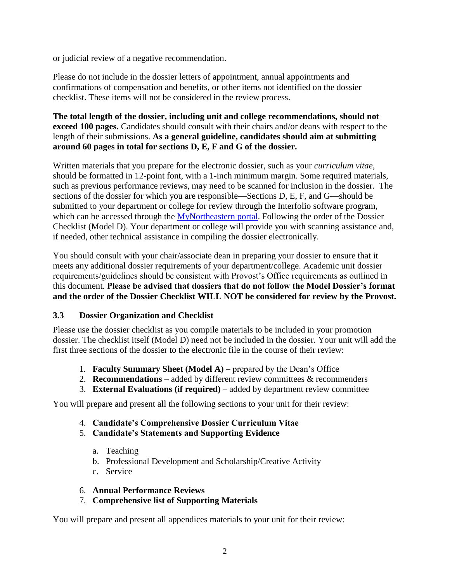or judicial review of a negative recommendation.

Please do not include in the dossier letters of appointment, annual appointments and confirmations of compensation and benefits, or other items not identified on the dossier checklist. These items will not be considered in the review process.

#### **The total length of the dossier, including unit and college recommendations, should not exceed 100 pages.** Candidates should consult with their chairs and/or deans with respect to the length of their submissions. **As a general guideline, candidates should aim at submitting around 60 pages in total for sections D, E, F and G of the dossier.**

Written materials that you prepare for the electronic dossier, such as your *curriculum vitae*, should be formatted in 12-point font, with a 1-inch minimum margin. Some required materials, such as previous performance reviews, may need to be scanned for inclusion in the dossier. The sections of the dossier for which you are responsible—Sections D, E, F, and G—should be submitted to your department or college for review through the Interfolio software program, which can be accessed through the [MyNortheastern](https://my.northeastern.edu/) portal. Following the order of the Dossier Checklist (Model D). Your department or college will provide you with scanning assistance and, if needed, other technical assistance in compiling the dossier electronically.

You should consult with your chair/associate dean in preparing your dossier to ensure that it meets any additional dossier requirements of your department/college. Academic unit dossier requirements/guidelines should be consistent with Provost's Office requirements as outlined in this document. **Please be advised that dossiers that do not follow the Model Dossier's format and the order of the Dossier Checklist WILL NOT be considered for review by the Provost.**

#### <span id="page-3-0"></span>**3.3 Dossier Organization and Checklist**

Please use the dossier checklist as you compile materials to be included in your promotion dossier. The checklist itself (Model D) need not be included in the dossier. Your unit will add the first three sections of the dossier to the electronic file in the course of their review:

- 1. **Faculty Summary Sheet (Model A)**  prepared by the Dean's Office
- 2. **Recommendations**  added by different review committees & recommenders
- 3. **External Evaluations (if required)** added by department review committee

You will prepare and present all the following sections to your unit for their review:

- 4. **Candidate's Comprehensive Dossier Curriculum Vitae**
- 5. **Candidate's Statements and Supporting Evidence**
	- a. Teaching
	- b. Professional Development and Scholarship/Creative Activity
	- c. Service

#### 6. **Annual Performance Reviews**

#### 7. **Comprehensive list of Supporting Materials**

You will prepare and present all appendices materials to your unit for their review: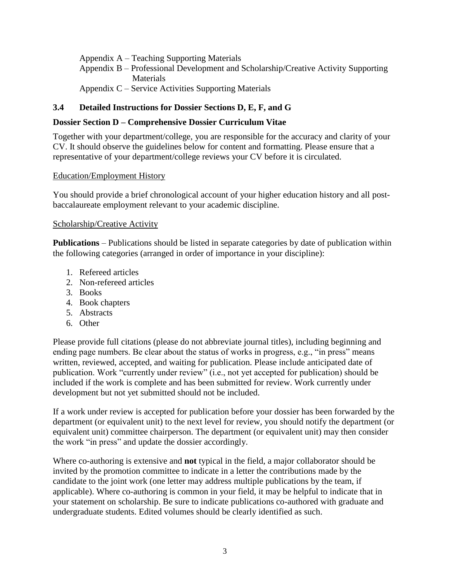Appendix A – Teaching Supporting Materials

- Appendix B Professional Development and Scholarship/Creative Activity Supporting **Materials**
- Appendix C Service Activities Supporting Materials

# <span id="page-4-0"></span>**3.4 Detailed Instructions for Dossier Sections D, E, F, and G**

#### **Dossier Section D – Comprehensive Dossier Curriculum Vitae**

Together with your department/college, you are responsible for the accuracy and clarity of your CV. It should observe the guidelines below for content and formatting. Please ensure that a representative of your department/college reviews your CV before it is circulated.

#### Education/Employment History

You should provide a brief chronological account of your higher education history and all postbaccalaureate employment relevant to your academic discipline.

#### Scholarship/Creative Activity

**Publications** – Publications should be listed in separate categories by date of publication within the following categories (arranged in order of importance in your discipline):

- 1. Refereed articles
- 2. Non-refereed articles
- 3. Books
- 4. Book chapters
- 5. Abstracts
- 6. Other

Please provide full citations (please do not abbreviate journal titles), including beginning and ending page numbers. Be clear about the status of works in progress, e.g., "in press" means written, reviewed, accepted, and waiting for publication. Please include anticipated date of publication. Work "currently under review" (i.e., not yet accepted for publication) should be included if the work is complete and has been submitted for review. Work currently under development but not yet submitted should not be included.

If a work under review is accepted for publication before your dossier has been forwarded by the department (or equivalent unit) to the next level for review, you should notify the department (or equivalent unit) committee chairperson. The department (or equivalent unit) may then consider the work "in press" and update the dossier accordingly.

Where co-authoring is extensive and **not** typical in the field, a major collaborator should be invited by the promotion committee to indicate in a letter the contributions made by the candidate to the joint work (one letter may address multiple publications by the team, if applicable). Where co-authoring is common in your field, it may be helpful to indicate that in your statement on scholarship. Be sure to indicate publications co-authored with graduate and undergraduate students. Edited volumes should be clearly identified as such.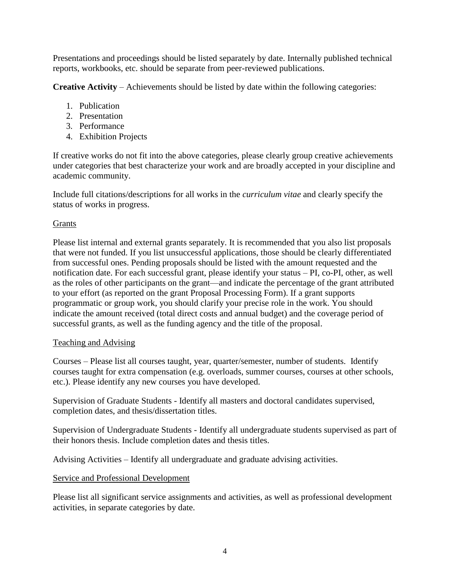Presentations and proceedings should be listed separately by date. Internally published technical reports, workbooks, etc. should be separate from peer-reviewed publications.

**Creative Activity** – Achievements should be listed by date within the following categories:

- 1. Publication
- 2. Presentation
- 3. Performance
- 4. Exhibition Projects

If creative works do not fit into the above categories, please clearly group creative achievements under categories that best characterize your work and are broadly accepted in your discipline and academic community.

Include full citations/descriptions for all works in the *curriculum vitae* and clearly specify the status of works in progress.

## Grants

Please list internal and external grants separately. It is recommended that you also list proposals that were not funded. If you list unsuccessful applications, those should be clearly differentiated from successful ones. Pending proposals should be listed with the amount requested and the notification date. For each successful grant, please identify your status – PI, co-PI, other, as well as the roles of other participants on the grant—and indicate the percentage of the grant attributed to your effort (as reported on the grant Proposal Processing Form). If a grant supports programmatic or group work, you should clarify your precise role in the work. You should indicate the amount received (total direct costs and annual budget) and the coverage period of successful grants, as well as the funding agency and the title of the proposal.

#### Teaching and Advising

Courses – Please list all courses taught, year, quarter/semester, number of students. Identify courses taught for extra compensation (e.g. overloads, summer courses, courses at other schools, etc.). Please identify any new courses you have developed.

Supervision of Graduate Students - Identify all masters and doctoral candidates supervised, completion dates, and thesis/dissertation titles.

Supervision of Undergraduate Students - Identify all undergraduate students supervised as part of their honors thesis. Include completion dates and thesis titles.

Advising Activities – Identify all undergraduate and graduate advising activities.

# Service and Professional Development

Please list all significant service assignments and activities, as well as professional development activities, in separate categories by date.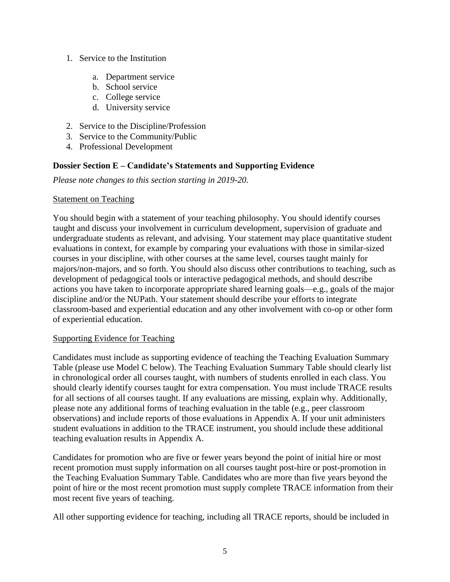- 1. Service to the Institution
	- a. Department service
	- b. School service
	- c. College service
	- d. University service
- 2. Service to the Discipline/Profession
- 3. Service to the Community/Public
- 4. Professional Development

#### **Dossier Section E – Candidate's Statements and Supporting Evidence**

*Please note changes to this section starting in 2019-20.*

#### Statement on Teaching

You should begin with a statement of your teaching philosophy. You should identify courses taught and discuss your involvement in curriculum development, supervision of graduate and undergraduate students as relevant, and advising. Your statement may place quantitative student evaluations in context, for example by comparing your evaluations with those in similar-sized courses in your discipline, with other courses at the same level, courses taught mainly for majors/non-majors, and so forth. You should also discuss other contributions to teaching, such as development of pedagogical tools or interactive pedagogical methods, and should describe actions you have taken to incorporate appropriate shared learning goals—e.g., goals of the major discipline and/or the NUPath. Your statement should describe your efforts to integrate classroom-based and experiential education and any other involvement with co-op or other form of experiential education.

#### Supporting Evidence for Teaching

Candidates must include as supporting evidence of teaching the Teaching Evaluation Summary Table (please use Model C below). The Teaching Evaluation Summary Table should clearly list in chronological order all courses taught, with numbers of students enrolled in each class. You should clearly identify courses taught for extra compensation. You must include TRACE results for all sections of all courses taught. If any evaluations are missing, explain why. Additionally, please note any additional forms of teaching evaluation in the table (e.g., peer classroom observations) and include reports of those evaluations in Appendix A. If your unit administers student evaluations in addition to the TRACE instrument, you should include these additional teaching evaluation results in Appendix A.

Candidates for promotion who are five or fewer years beyond the point of initial hire or most recent promotion must supply information on all courses taught post-hire or post-promotion in the Teaching Evaluation Summary Table. Candidates who are more than five years beyond the point of hire or the most recent promotion must supply complete TRACE information from their most recent five years of teaching.

All other supporting evidence for teaching, including all TRACE reports, should be included in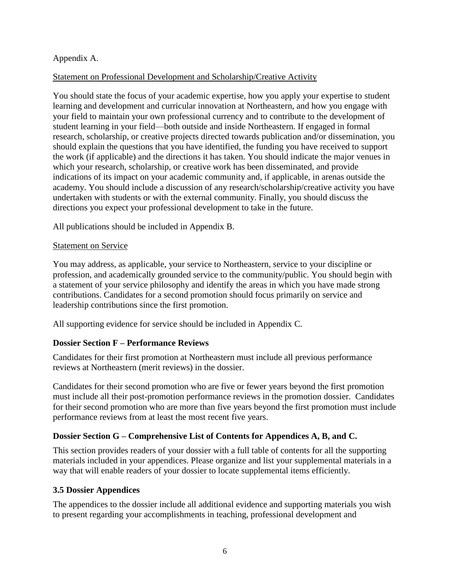#### Appendix A.

#### Statement on Professional Development and Scholarship/Creative Activity

You should state the focus of your academic expertise, how you apply your expertise to student learning and development and curricular innovation at Northeastern, and how you engage with your field to maintain your own professional currency and to contribute to the development of student learning in your field—both outside and inside Northeastern. If engaged in formal research, scholarship, or creative projects directed towards publication and/or dissemination, you should explain the questions that you have identified, the funding you have received to support the work (if applicable) and the directions it has taken. You should indicate the major venues in which your research, scholarship, or creative work has been disseminated, and provide indications of its impact on your academic community and, if applicable, in arenas outside the academy. You should include a discussion of any research/scholarship/creative activity you have undertaken with students or with the external community. Finally, you should discuss the directions you expect your professional development to take in the future.

All publications should be included in Appendix B.

#### Statement on Service

You may address, as applicable, your service to Northeastern, service to your discipline or profession, and academically grounded service to the community/public. You should begin with a statement of your service philosophy and identify the areas in which you have made strong contributions. Candidates for a second promotion should focus primarily on service and leadership contributions since the first promotion.

All supporting evidence for service should be included in Appendix C.

#### **Dossier Section F – Performance Reviews**

Candidates for their first promotion at Northeastern must include all previous performance reviews at Northeastern (merit reviews) in the dossier.

Candidates for their second promotion who are five or fewer years beyond the first promotion must include all their post-promotion performance reviews in the promotion dossier. Candidates for their second promotion who are more than five years beyond the first promotion must include performance reviews from at least the most recent five years.

#### **Dossier Section G – Comprehensive List of Contents for Appendices A, B, and C.**

This section provides readers of your dossier with a full table of contents for all the supporting materials included in your appendices. Please organize and list your supplemental materials in a way that will enable readers of your dossier to locate supplemental items efficiently.

#### <span id="page-7-0"></span>**3.5 Dossier Appendices**

The appendices to the dossier include all additional evidence and supporting materials you wish to present regarding your accomplishments in teaching, professional development and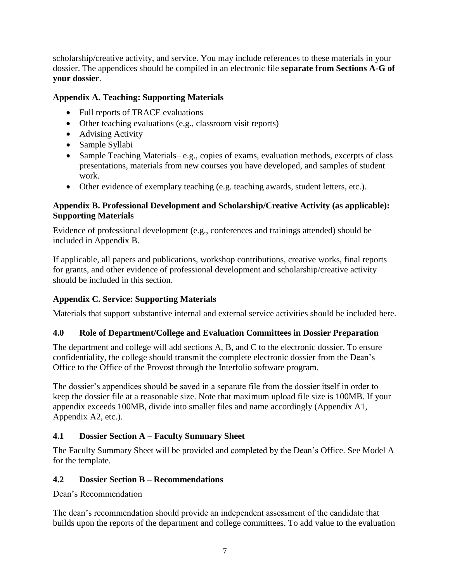scholarship/creative activity, and service. You may include references to these materials in your dossier. The appendices should be compiled in an electronic file **separate from Sections A-G of your dossier**.

# **Appendix A. Teaching: Supporting Materials**

- Full reports of TRACE evaluations
- Other teaching evaluations (e.g., classroom visit reports)
- Advising Activity
- Sample Syllabi
- Sample Teaching Materials– e.g., copies of exams, evaluation methods, excerpts of class presentations, materials from new courses you have developed, and samples of student work.
- Other evidence of exemplary teaching (e.g. teaching awards, student letters, etc.).

#### **Appendix B. Professional Development and Scholarship/Creative Activity (as applicable): Supporting Materials**

Evidence of professional development (e.g., conferences and trainings attended) should be included in Appendix B.

If applicable, all papers and publications, workshop contributions, creative works, final reports for grants, and other evidence of professional development and scholarship/creative activity should be included in this section.

# **Appendix C. Service: Supporting Materials**

Materials that support substantive internal and external service activities should be included here.

# <span id="page-8-0"></span>**4.0 Role of Department/College and Evaluation Committees in Dossier Preparation**

The department and college will add sections A, B, and C to the electronic dossier. To ensure confidentiality, the college should transmit the complete electronic dossier from the Dean's Office to the Office of the Provost through the Interfolio software program.

The dossier's appendices should be saved in a separate file from the dossier itself in order to keep the dossier file at a reasonable size. Note that maximum upload file size is 100MB. If your appendix exceeds 100MB, divide into smaller files and name accordingly (Appendix A1, Appendix A2, etc.).

# <span id="page-8-1"></span>**4.1 Dossier Section A – Faculty Summary Sheet**

The Faculty Summary Sheet will be provided and completed by the Dean's Office. See Model A for the template.

# <span id="page-8-2"></span>**4.2 Dossier Section B – Recommendations**

# Dean's Recommendation

The dean's recommendation should provide an independent assessment of the candidate that builds upon the reports of the department and college committees. To add value to the evaluation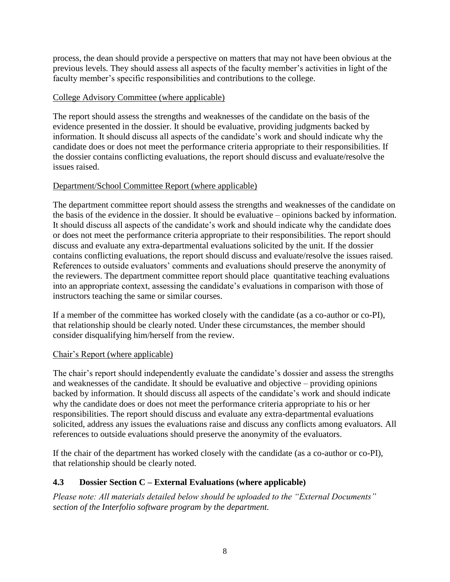process, the dean should provide a perspective on matters that may not have been obvious at the previous levels. They should assess all aspects of the faculty member's activities in light of the faculty member's specific responsibilities and contributions to the college.

#### College Advisory Committee (where applicable)

The report should assess the strengths and weaknesses of the candidate on the basis of the evidence presented in the dossier. It should be evaluative, providing judgments backed by information. It should discuss all aspects of the candidate's work and should indicate why the candidate does or does not meet the performance criteria appropriate to their responsibilities. If the dossier contains conflicting evaluations, the report should discuss and evaluate/resolve the issues raised.

#### Department/School Committee Report (where applicable)

The department committee report should assess the strengths and weaknesses of the candidate on the basis of the evidence in the dossier. It should be evaluative – opinions backed by information. It should discuss all aspects of the candidate's work and should indicate why the candidate does or does not meet the performance criteria appropriate to their responsibilities. The report should discuss and evaluate any extra-departmental evaluations solicited by the unit. If the dossier contains conflicting evaluations, the report should discuss and evaluate/resolve the issues raised. References to outside evaluators' comments and evaluations should preserve the anonymity of the reviewers. The department committee report should place quantitative teaching evaluations into an appropriate context, assessing the candidate's evaluations in comparison with those of instructors teaching the same or similar courses.

If a member of the committee has worked closely with the candidate (as a co-author or co-PI), that relationship should be clearly noted. Under these circumstances, the member should consider disqualifying him/herself from the review.

#### Chair's Report (where applicable)

The chair's report should independently evaluate the candidate's dossier and assess the strengths and weaknesses of the candidate. It should be evaluative and objective – providing opinions backed by information. It should discuss all aspects of the candidate's work and should indicate why the candidate does or does not meet the performance criteria appropriate to his or her responsibilities. The report should discuss and evaluate any extra-departmental evaluations solicited, address any issues the evaluations raise and discuss any conflicts among evaluators. All references to outside evaluations should preserve the anonymity of the evaluators.

If the chair of the department has worked closely with the candidate (as a co-author or co-PI), that relationship should be clearly noted.

#### <span id="page-9-0"></span>**4.3 Dossier Section C – External Evaluations (where applicable)**

*Please note: All materials detailed below should be uploaded to the "External Documents" section of the Interfolio software program by the department.*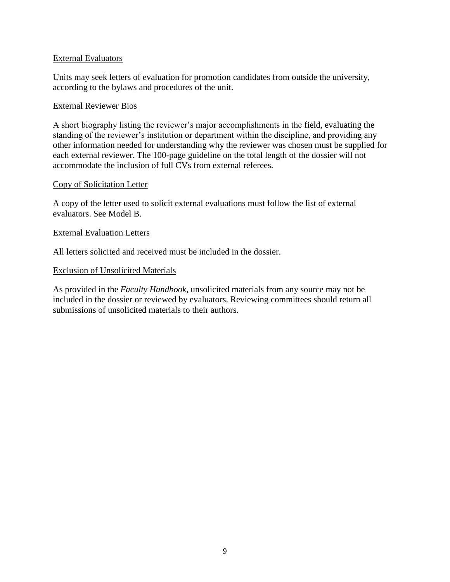#### External Evaluators

Units may seek letters of evaluation for promotion candidates from outside the university, according to the bylaws and procedures of the unit.

#### External Reviewer Bios

A short biography listing the reviewer's major accomplishments in the field, evaluating the standing of the reviewer's institution or department within the discipline, and providing any other information needed for understanding why the reviewer was chosen must be supplied for each external reviewer. The 100-page guideline on the total length of the dossier will not accommodate the inclusion of full CVs from external referees.

#### Copy of Solicitation Letter

A copy of the letter used to solicit external evaluations must follow the list of external evaluators. See Model B.

#### External Evaluation Letters

All letters solicited and received must be included in the dossier.

#### Exclusion of Unsolicited Materials

As provided in the *Faculty Handbook*, unsolicited materials from any source may not be included in the dossier or reviewed by evaluators. Reviewing committees should return all submissions of unsolicited materials to their authors.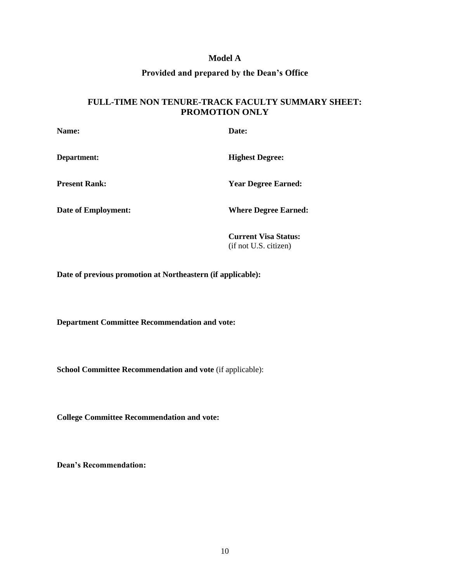#### **Model A**

#### **Provided and prepared by the Dean's Office**

#### <span id="page-11-0"></span>**FULL-TIME NON TENURE-TRACK FACULTY SUMMARY SHEET: PROMOTION ONLY**

| Name:                      | Date:                       |
|----------------------------|-----------------------------|
| Department:                | <b>Highest Degree:</b>      |
| <b>Present Rank:</b>       | <b>Year Degree Earned:</b>  |
| <b>Date of Employment:</b> | <b>Where Degree Earned:</b> |
|                            |                             |

**Current Visa Status:** (if not U.S. citizen)

**Date of previous promotion at Northeastern (if applicable):**

**Department Committee Recommendation and vote:**

**School Committee Recommendation and vote** (if applicable):

**College Committee Recommendation and vote:**

**Dean's Recommendation:**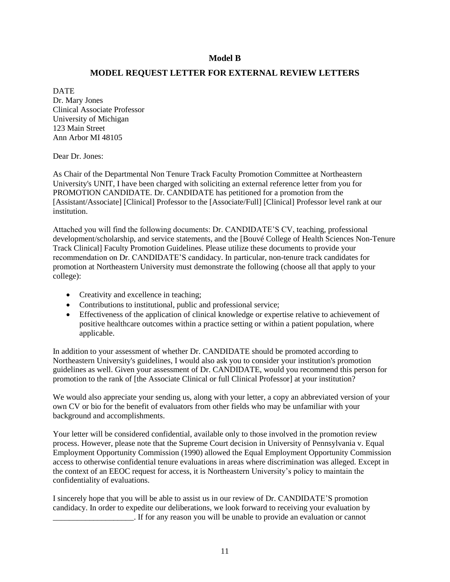#### **Model B**

#### **MODEL REQUEST LETTER FOR EXTERNAL REVIEW LETTERS**

<span id="page-12-0"></span>DATE Dr. Mary Jones Clinical Associate Professor University of Michigan 123 Main Street Ann Arbor MI 48105

Dear Dr. Jones:

As Chair of the Departmental Non Tenure Track Faculty Promotion Committee at Northeastern University's UNIT, I have been charged with soliciting an external reference letter from you for PROMOTION CANDIDATE. Dr. CANDIDATE has petitioned for a promotion from the [Assistant/Associate] [Clinical] Professor to the [Associate/Full] [Clinical] Professor level rank at our institution.

Attached you will find the following documents: Dr. CANDIDATE'S CV, teaching, professional development/scholarship, and service statements, and the [Bouvé College of Health Sciences Non-Tenure Track Clinical] Faculty Promotion Guidelines. Please utilize these documents to provide your recommendation on Dr. CANDIDATE'S candidacy. In particular, non-tenure track candidates for promotion at Northeastern University must demonstrate the following (choose all that apply to your college):

- Creativity and excellence in teaching;
- Contributions to institutional, public and professional service;
- Effectiveness of the application of clinical knowledge or expertise relative to achievement of positive healthcare outcomes within a practice setting or within a patient population, where applicable.

In addition to your assessment of whether Dr. CANDIDATE should be promoted according to Northeastern University's guidelines, I would also ask you to consider your institution's promotion guidelines as well. Given your assessment of Dr. CANDIDATE, would you recommend this person for promotion to the rank of [the Associate Clinical or full Clinical Professor] at your institution?

We would also appreciate your sending us, along with your letter, a copy an abbreviated version of your own CV or bio for the benefit of evaluators from other fields who may be unfamiliar with your background and accomplishments.

Your letter will be considered confidential, available only to those involved in the promotion review process. However, please note that the Supreme Court decision in University of Pennsylvania v. Equal Employment Opportunity Commission (1990) allowed the Equal Employment Opportunity Commission access to otherwise confidential tenure evaluations in areas where discrimination was alleged. Except in the context of an EEOC request for access, it is Northeastern University's policy to maintain the confidentiality of evaluations.

I sincerely hope that you will be able to assist us in our review of Dr. CANDIDATE'S promotion candidacy. In order to expedite our deliberations, we look forward to receiving your evaluation by \_\_\_\_\_\_\_\_\_\_\_\_\_\_\_\_\_\_\_\_. If for any reason you will be unable to provide an evaluation or cannot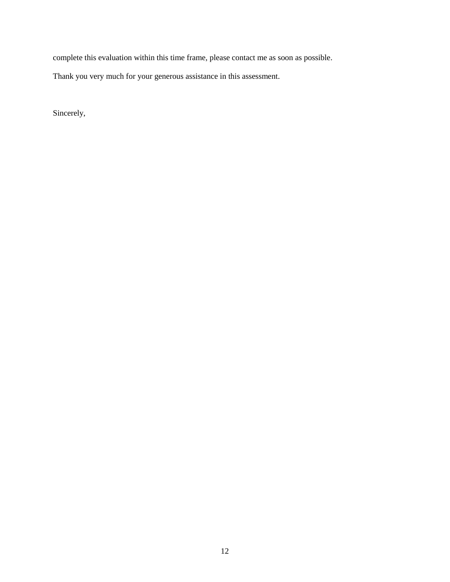complete this evaluation within this time frame, please contact me as soon as possible.

Thank you very much for your generous assistance in this assessment.

Sincerely,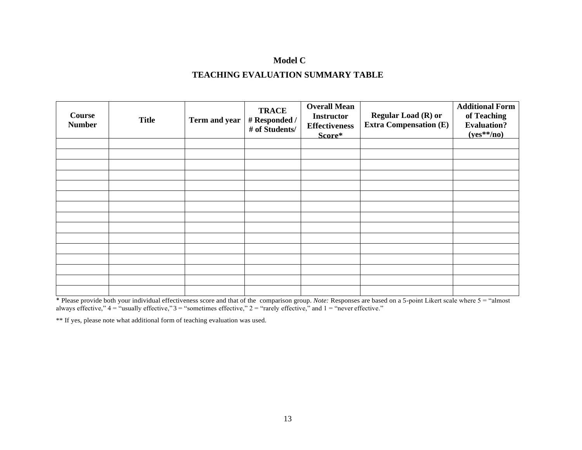# **Model C TEACHING EVALUATION SUMMARY TABLE**

<span id="page-14-0"></span>

| <b>Course</b><br><b>Number</b> | <b>Title</b> | Term and year | <b>TRACE</b><br># Responded /<br># of Students/ | <b>Overall Mean</b><br><b>Instructor</b><br><b>Effectiveness</b><br>Score* | <b>Regular Load (R) or</b><br><b>Extra Compensation (E)</b> | <b>Additional Form</b><br>of Teaching<br><b>Evaluation?</b><br>$(yes**/no)$ |
|--------------------------------|--------------|---------------|-------------------------------------------------|----------------------------------------------------------------------------|-------------------------------------------------------------|-----------------------------------------------------------------------------|
|                                |              |               |                                                 |                                                                            |                                                             |                                                                             |
|                                |              |               |                                                 |                                                                            |                                                             |                                                                             |
|                                |              |               |                                                 |                                                                            |                                                             |                                                                             |
|                                |              |               |                                                 |                                                                            |                                                             |                                                                             |
|                                |              |               |                                                 |                                                                            |                                                             |                                                                             |
|                                |              |               |                                                 |                                                                            |                                                             |                                                                             |
|                                |              |               |                                                 |                                                                            |                                                             |                                                                             |
|                                |              |               |                                                 |                                                                            |                                                             |                                                                             |
|                                |              |               |                                                 |                                                                            |                                                             |                                                                             |
|                                |              |               |                                                 |                                                                            |                                                             |                                                                             |
|                                |              |               |                                                 |                                                                            |                                                             |                                                                             |
|                                |              |               |                                                 |                                                                            |                                                             |                                                                             |
|                                |              |               |                                                 |                                                                            |                                                             |                                                                             |
|                                |              |               |                                                 |                                                                            |                                                             |                                                                             |
|                                |              |               |                                                 |                                                                            |                                                             |                                                                             |

\* Please provide both your individual effectiveness score and that of the comparison group. *Note:* Responses are based on a 5-point Likert scale where 5 = "almost always effective,"  $4 =$  "usually effective,"  $3 =$  "sometimes effective,"  $2 =$  "rarely effective," and  $1 =$  "never effective."

\*\* If yes, please note what additional form of teaching evaluation was used.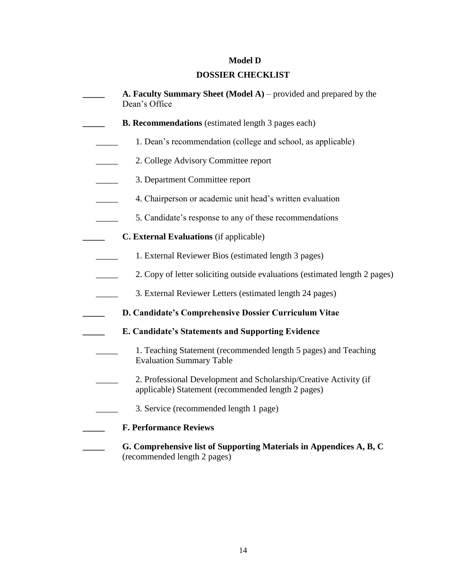# **Model D**

# **DOSSIER CHECKLIST**

<span id="page-15-0"></span>

| A. Faculty Summary Sheet (Model A) – provided and prepared by the<br>Dean's Office                                      |
|-------------------------------------------------------------------------------------------------------------------------|
| <b>B. Recommendations</b> (estimated length 3 pages each)                                                               |
| 1. Dean's recommendation (college and school, as applicable)                                                            |
| 2. College Advisory Committee report                                                                                    |
| 3. Department Committee report                                                                                          |
| 4. Chairperson or academic unit head's written evaluation                                                               |
| 5. Candidate's response to any of these recommendations                                                                 |
| C. External Evaluations (if applicable)                                                                                 |
| 1. External Reviewer Bios (estimated length 3 pages)                                                                    |
| 2. Copy of letter soliciting outside evaluations (estimated length 2 pages)                                             |
| 3. External Reviewer Letters (estimated length 24 pages)                                                                |
| D. Candidate's Comprehensive Dossier Curriculum Vitae                                                                   |
| E. Candidate's Statements and Supporting Evidence                                                                       |
| 1. Teaching Statement (recommended length 5 pages) and Teaching<br><b>Evaluation Summary Table</b>                      |
| 2. Professional Development and Scholarship/Creative Activity (if<br>applicable) Statement (recommended length 2 pages) |
| 3. Service (recommended length 1 page)                                                                                  |
| <b>F. Performance Reviews</b>                                                                                           |
| G. Comprehensive list of Supporting Materials in Appendices A, B, C<br>(recommended length 2 pages)                     |